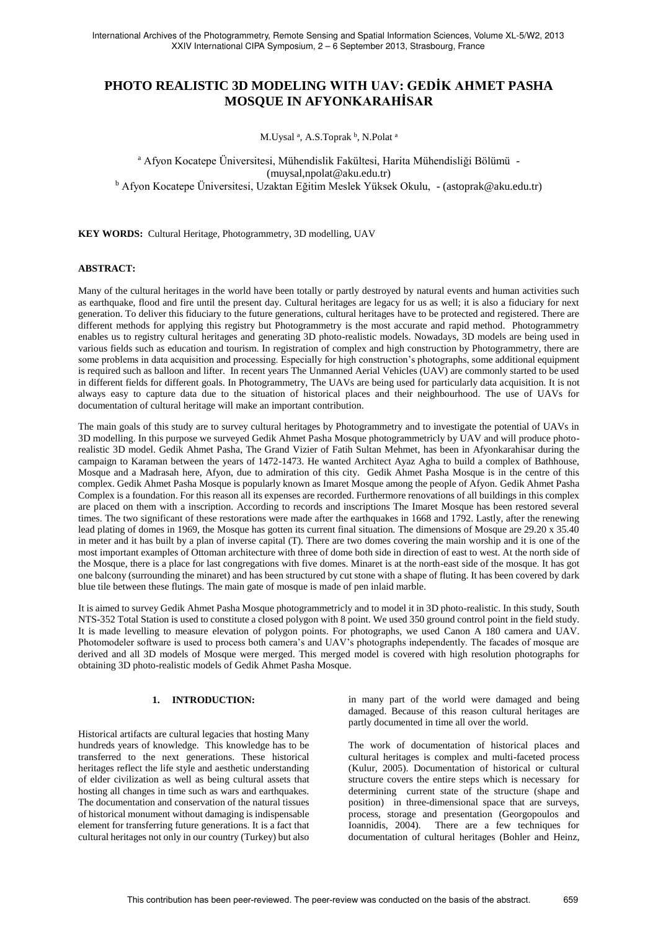# **PHOTO REALISTIC 3D MODELING WITH UAV: GEDİK AHMET PASHA MOSQUE IN AFYONKARAHİSAR**

M.Uysal<sup>a</sup>, A.S.Toprak<sup>b</sup>, N.Polat<sup>a</sup>

<sup>a</sup> Afyon Kocatepe Üniversitesi, Mühendislik Fakültesi, Harita Mühendisliği Bölümü - (muysal,npolat@aku.edu.tr) <sup>b</sup> Afyon Kocatepe Üniversitesi, Uzaktan Eğitim Meslek Yüksek Okulu, - (astoprak@aku.edu.tr)

**KEY WORDS:** Cultural Heritage, Photogrammetry, 3D modelling, UAV

## **ABSTRACT:**

Many of the cultural heritages in the world have been totally or partly destroyed by natural events and human activities such as earthquake, flood and fire until the present day. Cultural heritages are legacy for us as well; it is also a fiduciary for next generation. To deliver this fiduciary to the future generations, cultural heritages have to be protected and registered. There are different methods for applying this registry but Photogrammetry is the most accurate and rapid method. Photogrammetry enables us to registry cultural heritages and generating 3D photo-realistic models. Nowadays, 3D models are being used in various fields such as education and tourism. In registration of complex and high construction by Photogrammetry, there are some problems in data acquisition and processing. Especially for high construction's photographs, some additional equipment is required such as balloon and lifter. In recent years The Unmanned Aerial Vehicles (UAV) are commonly started to be used in different fields for different goals. In Photogrammetry, The UAVs are being used for particularly data acquisition. It is not always easy to capture data due to the situation of historical places and their neighbourhood. The use of UAVs for documentation of cultural heritage will make an important contribution.

The main goals of this study are to survey cultural heritages by Photogrammetry and to investigate the potential of UAVs in 3D modelling. In this purpose we surveyed Gedik Ahmet Pasha Mosque photogrammetricly by UAV and will produce photorealistic 3D model. Gedik Ahmet Pasha, The Grand Vizier of Fatih Sultan Mehmet, has been in Afyonkarahisar during the campaign to Karaman between the years of 1472-1473. He wanted Architect Ayaz Agha to build a complex of Bathhouse, Mosque and a Madrasah here, Afyon, due to admiration of this city. Gedik Ahmet Pasha Mosque is in the centre of this complex. Gedik Ahmet Pasha Mosque is popularly known as Imaret Mosque among the people of Afyon. Gedik Ahmet Pasha Complex is a foundation. For this reason all its expenses are recorded. Furthermore renovations of all buildings in this complex are placed on them with a inscription. According to records and inscriptions The Imaret Mosque has been restored several times. The two significant of these restorations were made after the earthquakes in 1668 and 1792. Lastly, after the renewing lead plating of domes in 1969, the Mosque has gotten its current final situation. The dimensions of Mosque are 29.20 x 35.40 in meter and it has built by a plan of inverse capital (T). There are two domes covering the main worship and it is one of the most important examples of Ottoman architecture with three of dome both side in direction of east to west. At the north side of the Mosque, there is a place for last congregations with five domes. Minaret is at the north-east side of the mosque. It has got one balcony (surrounding the minaret) and has been structured by cut stone with a shape of fluting. It has been covered by dark blue tile between these flutings. The main gate of mosque is made of pen inlaid marble.

It is aimed to survey Gedik Ahmet Pasha Mosque photogrammetricly and to model it in 3D photo-realistic. In this study, South NTS-352 Total Station is used to constitute a closed polygon with 8 point. We used 350 ground control point in the field study. It is made levelling to measure elevation of polygon points. For photographs, we used Canon A 180 camera and UAV. Photomodeler software is used to process both camera's and UAV's photographs independently. The facades of mosque are derived and all 3D models of Mosque were merged. This merged model is covered with high resolution photographs for obtaining 3D photo-realistic models of Gedik Ahmet Pasha Mosque.

#### **1. INTRODUCTION:**

Historical artifacts are cultural legacies that hosting Many hundreds years of knowledge. This knowledge has to be transferred to the next generations. These historical heritages reflect the life style and aesthetic understanding of elder civilization as well as being cultural assets that hosting all changes in time such as wars and earthquakes. The documentation and conservation of the natural tissues of historical monument without damaging is indispensable element for transferring future generations. It is a fact that cultural heritages not only in our country (Turkey) but also

in many part of the world were damaged and being damaged. Because of this reason cultural heritages are partly documented in time all over the world.

The work of documentation of historical places and cultural heritages is complex and multi-faceted process (Kulur, 2005). Documentation of historical or cultural structure covers the entire steps which is necessary for determining current state of the structure (shape and position) in three-dimensional space that are surveys, process, storage and presentation (Georgopoulos and Ioannidis, 2004). There are a few techniques for documentation of cultural heritages (Bohler and Heinz,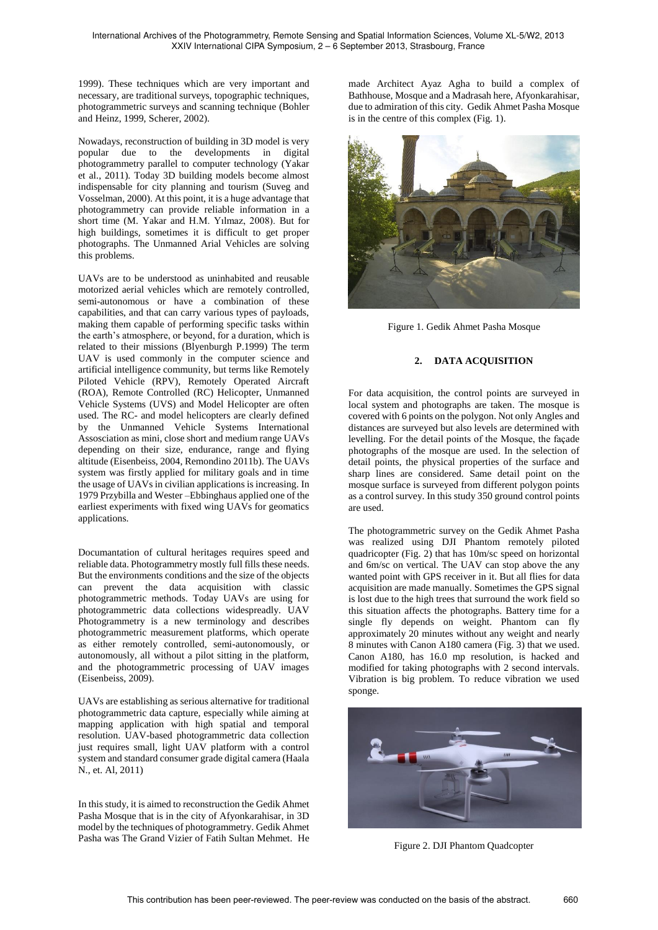1999). These techniques which are very important and necessary, are traditional surveys, topographic techniques, photogrammetric surveys and scanning technique (Bohler and Heinz, 1999, Scherer, 2002).

Nowadays, reconstruction of building in 3D model is very popular due to the developments in digital photogrammetry parallel to computer technology (Yakar et al., 2011). Today 3D building models become almost indispensable for city planning and tourism (Suveg and Vosselman, 2000). At this point, it is a huge advantage that photogrammetry can provide reliable information in a short time (M. Yakar and H.M. Yılmaz, 2008). But for high buildings, sometimes it is difficult to get proper photographs. The Unmanned Arial Vehicles are solving this problems.

UAVs are to be understood as uninhabited and reusable motorized aerial vehicles which are remotely controlled, semi-autonomous or have a combination of these capabilities, and that can carry various types of payloads, making them capable of performing specific tasks within the earth's atmosphere, or beyond, for a duration, which is related to their missions (Blyenburgh P.1999) The term UAV is used commonly in the computer science and artificial intelligence community, but terms like Remotely Piloted Vehicle (RPV), Remotely Operated Aircraft (ROA), Remote Controlled (RC) Helicopter, Unmanned Vehicle Systems (UVS) and Model Helicopter are often used. The RC- and model helicopters are clearly defined by the Unmanned Vehicle Systems International Assosciation as mini, close short and medium range UAVs depending on their size, endurance, range and flying altitude (Eisenbeiss, 2004, Remondino 2011b). The UAVs system was firstly applied for military goals and in time the usage of UAVs in civilian applications is increasing. In 1979 Przybilla and Wester –Ebbinghaus applied one of the earliest experiments with fixed wing UAVs for geomatics applications.

Documantation of cultural heritages requires speed and reliable data. Photogrammetry mostly full fills these needs. But the environments conditions and the size of the objects can prevent the data acquisition with classic photogrammetric methods. Today UAVs are using for photogrammetric data collections widespreadly. UAV Photogrammetry is a new terminology and describes photogrammetric measurement platforms, which operate as either remotely controlled, semi-autonomously, or autonomously, all without a pilot sitting in the platform, and the photogrammetric processing of UAV images (Eisenbeiss, 2009).

UAVs are establishing as serious alternative for traditional photogrammetric data capture, especially while aiming at mapping application with high spatial and temporal resolution. UAV-based photogrammetric data collection just requires small, light UAV platform with a control system and standard consumer grade digital camera (Haala N., et. Al, 2011)

In this study, it is aimed to reconstruction the Gedik Ahmet Pasha Mosque that is in the city of Afyonkarahisar, in 3D model by the techniques of photogrammetry. Gedik Ahmet Pasha was The Grand Vizier of Fatih Sultan Mehmet. He

made Architect Ayaz Agha to build a complex of Bathhouse, Mosque and a Madrasah here, Afyonkarahisar, due to admiration of this city. Gedik Ahmet Pasha Mosque is in the centre of this complex (Fig. 1).



Figure 1. Gedik Ahmet Pasha Mosque

## **2. DATA ACQUISITION**

For data acquisition, the control points are surveyed in local system and photographs are taken. The mosque is covered with 6 points on the polygon. Not only Angles and distances are surveyed but also levels are determined with levelling. For the detail points of the Mosque, the façade photographs of the mosque are used. In the selection of detail points, the physical properties of the surface and sharp lines are considered. Same detail point on the mosque surface is surveyed from different polygon points as a control survey. In this study 350 ground control points are used.

The photogrammetric survey on the Gedik Ahmet Pasha was realized using DJI Phantom remotely piloted quadricopter (Fig. 2) that has 10m/sc speed on horizontal and 6m/sc on vertical. The UAV can stop above the any wanted point with GPS receiver in it. But all flies for data acquisition are made manually. Sometimes the GPS signal is lost due to the high trees that surround the work field so this situation affects the photographs. Battery time for a single fly depends on weight. Phantom can fly approximately 20 minutes without any weight and nearly 8 minutes with Canon A180 camera (Fig. 3) that we used. Canon A180, has 16.0 mp resolution, is hacked and modified for taking photographs with 2 second intervals. Vibration is big problem. To reduce vibration we used sponge.



Figure 2. DJI Phantom Quadcopter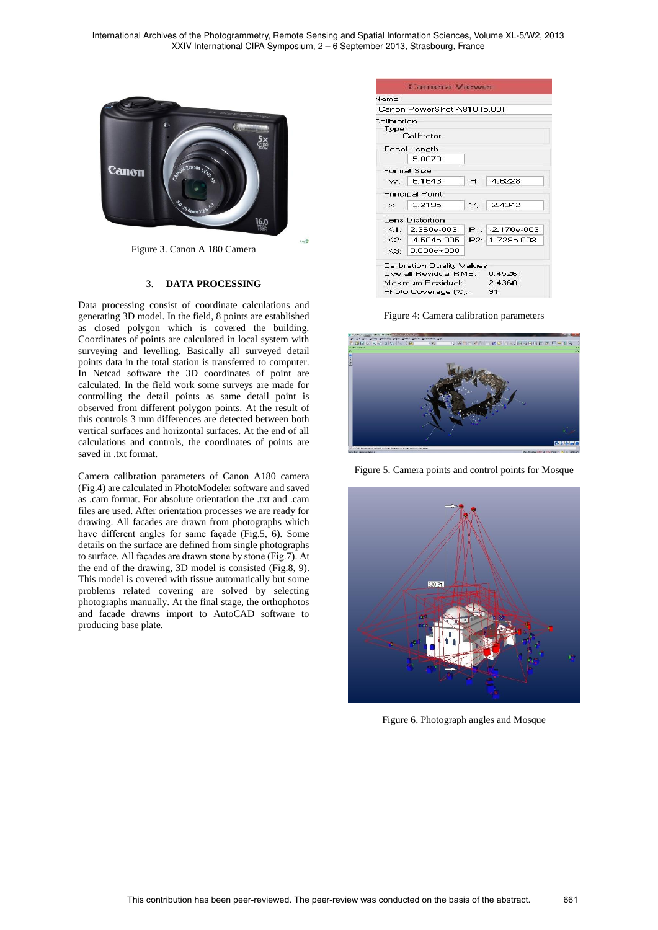International Archives of the Photogrammetry, Remote Sensing and Spatial Information Sciences, Volume XL-5/W2, 2013 XXIV International CIPA Symposium, 2 – 6 September 2013, Strasbourg, France



Figure 3. Canon A 180 Camera

#### 3. **DATA PROCESSING**

Data processing consist of coordinate calculations and generating 3D model. In the field, 8 points are established as closed polygon which is covered the building. Coordinates of points are calculated in local system with surveying and levelling. Basically all surveyed detail points data in the total station is transferred to computer. In Netcad software the 3D coordinates of point are calculated. In the field work some surveys are made for controlling the detail points as same detail point is observed from different polygon points. At the result of this controls 3 mm differences are detected between both vertical surfaces and horizontal surfaces. At the end of all calculations and controls, the coordinates of points are saved in .txt format.

Camera calibration parameters of Canon A180 camera (Fig.4) are calculated in PhotoModeler software and saved as .cam format. For absolute orientation the .txt and .cam files are used. After orientation processes we are ready for drawing. All facades are drawn from photographs which have different angles for same façade (Fig.5, 6). Some details on the surface are defined from single photographs to surface. All façades are drawn stone by stone (Fig.7). At the end of the drawing, 3D model is consisted (Fig.8, 9). This model is covered with tissue automatically but some problems related covering are solved by selecting photographs manually. At the final stage, the orthophotos and facade drawns import to AutoCAD software to producing base plate.

| Vame                         |   |    |                 |
|------------------------------|---|----|-----------------|
| Canon PowerShot A810 [5,00]  |   |    |                 |
| Calibration                  |   |    |                 |
| Type<br>Calibrator           |   |    |                 |
| Focal Length                 |   |    |                 |
| 5.0873                       |   |    |                 |
| Format Size                  |   |    |                 |
| 6.1643<br>w:                 | H |    | 4.6228          |
| <b>Principal Point</b>       |   |    |                 |
| 3.2195<br>$\mathord{\times}$ |   | Y: | 2.4342          |
| Lens Distortion              |   |    |                 |
| $K1 -$<br>2.360e-003         |   |    | $P1: 2170e-003$ |
| $K2 - 4504e-005$             |   |    | P2: 1.729e-003  |
| $0.000e + 000$<br>K3.        |   |    |                 |

Figure 4: Camera calibration parameters



Figure 5. Camera points and control points for Mosque



Figure 6. Photograph angles and Mosque